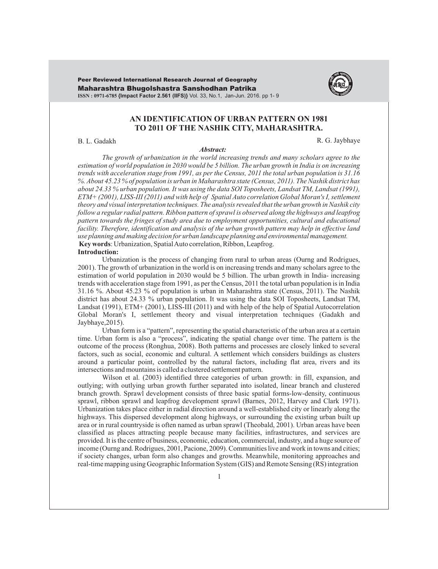Maharashtra Bhugolshastra Sanshodhan Patrika **ISSN : 0971-6785 {Impact Factor 2.561 (IIFS)}** Vol. 33, No.1, Jan-Jun. 2016. pp 1- 9 Peer Reviewed International Research Journal of Geography



# **AN IDENTIFICATION OF URBAN PATTERN ON 1981 TO 2011 OF THE NASHIK CITY, MAHARASHTRA.**

## B. L. Gadakh R. G. Jaybhaye

#### *Abstract:*

*The growth of urbanization in the world increasing trends and many scholars agree to the estimation of world population in 2030 would be 5 billion. The urban growth in India is on increasing trends with acceleration stage from 1991, as per the Census, 2011 the total urban population is 31.16 %. About 45.23 % of population is urban in Maharashtra state (Census, 2011). The Nashik district has about 24.33 % urban population. It was using the data SOI Toposheets, Landsat TM, Landsat (1991), ETM+ (2001), LISS-III (2011) and with help of Spatial Auto correlation Global Moran's I, settlement theory and visual interpretation techniques. The analysis revealed that the urban growth in Nashik city follow a regular radial pattern. Ribbon pattern of sprawl is observed along the highways and leapfrog pattern towards the fringes of study area due to employment opportunities, cultural and educational facility. Therefore, identification and analysis of the urban growth pattern may help in effective land use planning and making decision for urban landscape planning and environmental management.* **Key words**: Urbanization, Spatial Auto correlation, Ribbon, Leapfrog.

#### **Introduction:**

Urbanization is the process of changing from rural to urban areas (Ourng and Rodrigues, 2001). The growth of urbanization in the world is on increasing trends and many scholars agree to the estimation of world population in 2030 would be 5 billion. The urban growth in India- increasing trends with acceleration stage from 1991, as per the Census, 2011 the total urban population is in India 31.16 %. About 45.23 % of population is urban in Maharashtra state (Census, 2011). The Nashik district has about 24.33 % urban population. It was using the data SOI Toposheets, Landsat TM, Landsat (1991), ETM+ (2001), LISS-III (2011) and with help of the help of Spatial Autocorrelation Global Moran's I, settlement theory and visual interpretation techniques (Gadakh and Jaybhaye,2015).

Urban form is a "pattern", representing the spatial characteristic of the urban area at a certain time. Urban form is also a "process", indicating the spatial change over time. The pattern is the outcome of the process (Ronghua, 2008). Both patterns and processes are closely linked to several factors, such as social, economic and cultural. A settlement which considers buildings as clusters around a particular point, controlled by the natural factors, including flat area, rivers and its intersections and mountains is called a clustered settlement pattern.

Wilson et al. (2003) identified three categories of urban growth: in fill, expansion, and outlying; with outlying urban growth further separated into isolated, linear branch and clustered branch growth. Sprawl development consists of three basic spatial forms-low-density, continuous sprawl, ribbon sprawl and leapfrog development sprawl (Barnes, 2012, Harvey and Clark 1971). Urbanization takes place either in radial direction around a well-established city or linearly along the highways. This dispersed development along highways, or surrounding the existing urban built up area or in rural countryside is often named as urban sprawl (Theobald, 2001). Urban areas have been classified as places attracting people because many facilities, infrastructures, and services are provided. It is the centre of business, economic, education, commercial, industry, and a huge source of income (Ourng and. Rodrigues, 2001, Pacione, 2009). Communities live and work in towns and cities; if society changes, urban form also changes and growths. Meanwhile, monitoring approaches and real-time mapping using Geographic Information System (GIS) and Remote Sensing (RS) integration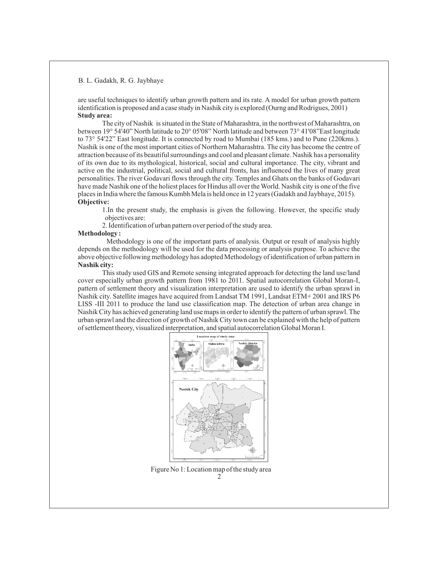are useful techniques to identify urban growth pattern and its rate. A model for urban growth pattern identification is proposed and a case study in Nashik city is explored (Ourng and Rodrigues, 2001) **Study area:**

The city of Nashik is situated in the State of Maharashtra, in the northwest of Maharashtra, on between 19° 54'40" North latitude to 20° 05'08" North latitude and between 73° 41'08"East longitude to 73° 54'22" East longitude. It is connected by road to Mumbai (185 kms.) and to Pune (220kms.). Nashik is one of the most important cities of Northern Maharashtra. The city has become the centre of attraction because of its beautiful surroundings and cool and pleasant climate. Nashik has a personality of its own due to its mythological, historical, social and cultural importance. The city, vibrant and active on the industrial, political, social and cultural fronts, has influenced the lives of many great personalities. The river Godavari flows through the city. Temples and Ghats on the banks of Godavari have made Nashik one of the holiest places for Hindus all over the World. Nashik city is one of the five places in India where the famous Kumbh Mela is held once in 12 years (Gadakh and Jaybhaye, 2015). **Objective:** 

1.In the present study, the emphasis is given the following. However, the specific study objectives are:

2. Identification of urban pattern over period of the study area.

### **Methodology :**

Methodology is one of the important parts of analysis. Output or result of analysis highly depends on the methodology will be used for the data processing or analysis purpose. To achieve the above objective following methodology has adopted Methodology of identification of urban pattern in **Nashik city:**

This study used GIS and Remote sensing integrated approach for detecting the land use/land cover especially urban growth pattern from 1981 to 2011. Spatial autocorrelation Global Moran-I, pattern of settlement theory and visualization interpretation are used to identify the urban sprawl in Nashik city. Satellite images have acquired from Landsat TM 1991, Landsat ETM+ 2001 and IRS P6 LISS -III 2011 to produce the land use classification map. The detection of urban area change in Nashik City has achieved generating land use maps in order to identify the pattern of urban sprawl. The urban sprawl and the direction of growth of Nashik City town can be explained with the help of pattern of settlement theory, visualized interpretation, and spatial autocorrelation Global Moran I.



Figure No 1: Location map of the study area 2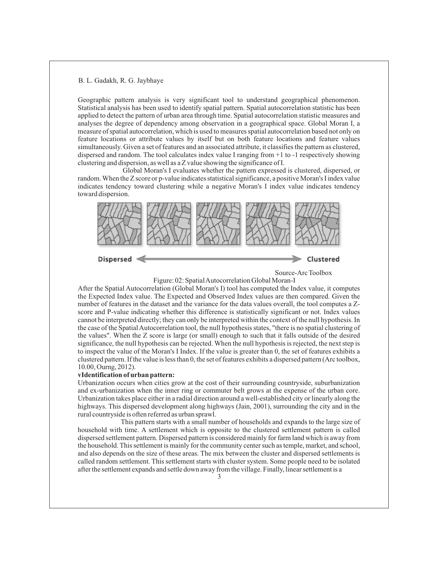Geographic pattern analysis is very significant tool to understand geographical phenomenon. Statistical analysis has been used to identify spatial pattern. Spatial autocorrelation statistic has been applied to detect the pattern of urban area through time. Spatial autocorrelation statistic measures and analyses the degree of dependency among observation in a geographical space. Global Moran I, a measure of spatial autocorrelation, which is used to measures spatial autocorrelation based not only on feature locations or attribute values by itself but on both feature locations and feature values simultaneously. Given a set of features and an associated attribute, it classifies the pattern as clustered, dispersed and random. The tool calculates index value I ranging from +1 to -1 respectively showing clustering and dispersion, as well as a Z value showing the significance of I.

Global Moran's I evaluates whether the pattern expressed is clustered, dispersed, or random. When the Z score or p-value indicates statistical significance, a positive Moran's I index value indicates tendency toward clustering while a negative Moran's I index value indicates tendency toward dispersion.



Dispersed

Source-Arc Toolbox

Figure: 02: Spatial Autocorrelation Global Moran-I

After the Spatial Autocorrelation (Global Moran's I) tool has computed the Index value, it computes the Expected Index value. The Expected and Observed Index values are then compared. Given the number of features in the dataset and the variance for the data values overall, the tool computes a Zscore and P-value indicating whether this difference is statistically significant or not. Index values cannot be interpreted directly; they can only be interpreted within the context of the null hypothesis. In the case of the Spatial Autocorrelation tool, the null hypothesis states, "there is no spatial clustering of the values". When the Z score is large (or small) enough to such that it falls outside of the desired significance, the null hypothesis can be rejected. When the null hypothesis is rejected, the next step is to inspect the value of the Moran's I Index. If the value is greater than 0, the set of features exhibits a clustered pattern. If the value is less than 0, the set of features exhibits a dispersed pattern (Arc toolbox, 10.00, Ourng, 2012).

#### **vIdentification of urban pattern:**

Urbanization occurs when cities grow at the cost of their surrounding countryside, suburbanization and ex-urbanization when the inner ring or commuter belt grows at the expense of the urban core. Urbanization takes place either in a radial direction around a well-established city or linearly along the highways. This dispersed development along highways (Jain, 2001), surrounding the city and in the rural countryside is often referred as urban sprawl.

This pattern starts with a small number of households and expands to the large size of household with time. A settlement which is opposite to the clustered settlement pattern is called dispersed settlement pattern. Dispersed pattern is considered mainly for farm land which is away from the household. This settlement is mainly for the community center such as temple, market, and school, and also depends on the size of these areas. The mix between the cluster and dispersed settlements is called random settlement. This settlement starts with cluster system. Some people need to be isolated after the settlement expands and settle down away from the village. Finally, linear settlement is a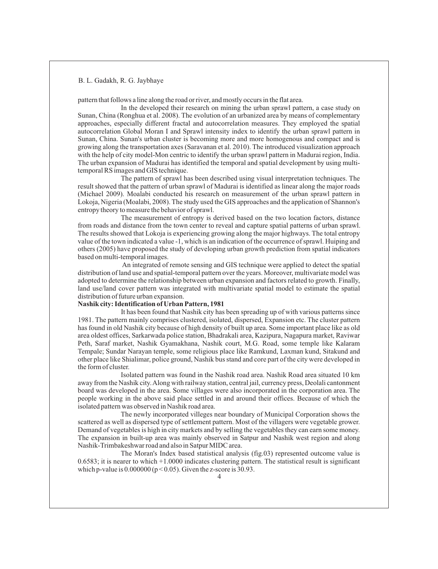pattern that follows a line along the road or river, and mostly occurs in the flat area.

In the developed their research on mining the urban sprawl pattern, a case study on Sunan, China (Ronghua et al. 2008). The evolution of an urbanized area by means of complementary approaches, especially different fractal and autocorrelation measures. They employed the spatial autocorrelation Global Moran I and Sprawl intensity index to identify the urban sprawl pattern in Sunan, China. Sunan's urban cluster is becoming more and more homogenous and compact and is growing along the transportation axes (Saravanan et al. 2010). The introduced visualization approach with the help of city model-Mon centric to identify the urban sprawl pattern in Madurai region, India. The urban expansion of Madurai has identified the temporal and spatial development by using multitemporal RS images and GIS technique.

The pattern of sprawl has been described using visual interpretation techniques. The result showed that the pattern of urban sprawl of Madurai is identified as linear along the major roads (Michael 2009). Moalabi conducted his research on measurement of the urban sprawl pattern in Lokoja, Nigeria (Moalabi, 2008). The study used the GIS approaches and the application of Shannon's entropy theory to measure the behavior of sprawl.

The measurement of entropy is derived based on the two location factors, distance from roads and distance from the town center to reveal and capture spatial patterns of urban sprawl. The results showed that Lokoja is experiencing growing along the major highways. The total entropy value of the town indicated a value -1, which is an indication of the occurrence of sprawl. Huiping and others (2005) have proposed the study of developing urban growth prediction from spatial indicators based on multi-temporal images.

An integrated of remote sensing and GIS technique were applied to detect the spatial distribution of land use and spatial-temporal pattern over the years. Moreover, multivariate model was adopted to determine the relationship between urban expansion and factors related to growth. Finally, land use/land cover pattern was integrated with multivariate spatial model to estimate the spatial distribution of future urban expansion.

### **Nashik city: Identification of Urban Pattern, 1981**

It has been found that Nashik city has been spreading up of with various patterns since 1981. The pattern mainly comprises clustered, isolated, dispersed, Expansion etc. The cluster pattern has found in old Nashik city because of high density of built up area. Some important place like as old area oldest offices, Sarkarwada police station, Bhadrakali area, Kazipura, Nagapura market, Raviwar Peth, Saraf market, Nashik Gyamakhana, Nashik court, M.G. Road, some temple like Kalaram Tempale; Sundar Narayan temple, some religious place like Ramkund, Laxman kund, Sitakund and other place like Shialimar, police ground, Nashik bus stand and core part of the city were developed in the form of cluster.

Isolated pattern was found in the Nashik road area. Nashik Road area situated 10 km away from the Nashik city. Along with railway station, central jail, currency press, Deolali cantonment board was developed in the area. Some villages were also incorporated in the corporation area. The people working in the above said place settled in and around their offices. Because of which the isolated pattern was observed in Nashik road area.

The newly incorporated villeges near boundary of Municipal Corporation shows the scattered as well as dispersed type of settlement pattern. Most of the villagers were vegetable grower. Demand of vegetables is high in city markets and by selling the vegetables they can earn some money. The expansion in built-up area was mainly observed in Satpur and Nashik west region and along Nashik-Trimbakeshwar road and also in Satpur MIDC area.

The Moran's Index based statistical analysis (fig.03) represented outcome value is 0.6583; it is nearer to which +1.0000 indicates clustering pattern. The statistical result is significant which p-value is  $0.000000 (p < 0.05)$ . Given the z-score is 30.93.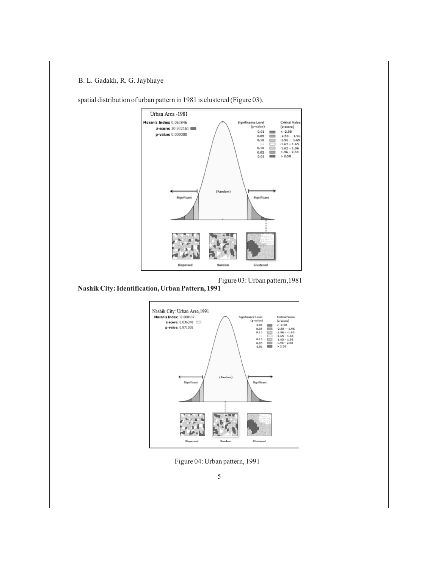

spatial distribution of urban pattern in 1981 is clustered (Figure 03).

Figure 03: Urban pattern,1981

**Nashik City: Identification, Urban Pattern, 1991** 



Figure 04: Urban pattern, 1991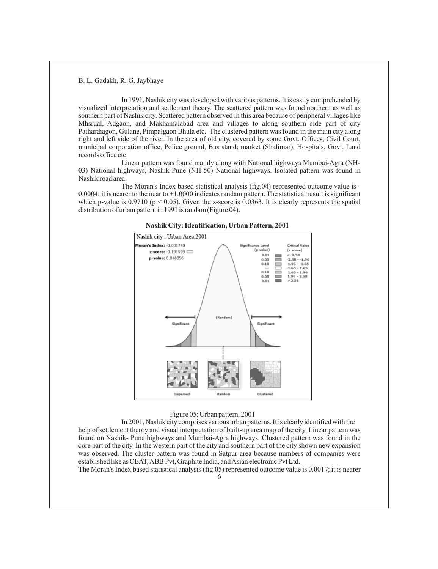In 1991, Nashik city was developed with various patterns. It is easily comprehended by visualized interpretation and settlement theory. The scattered pattern was found northern as well as southern part of Nashik city. Scattered pattern observed in this area because of peripheral villages like Mhsrual, Adgaon, and Makhamalabad area and villages to along southern side part of city Pathardiagon, Gulane, Pimpalgaon Bhula etc. The clustered pattern was found in the main city along right and left side of the river. In the area of old city, covered by some Govt. Offices, Civil Court, municipal corporation office, Police ground, Bus stand; market (Shalimar), Hospitals, Govt. Land records office etc.

Linear pattern was found mainly along with National highways Mumbai-Agra (NH-03) National highways, Nashik-Pune (NH-50) National highways. Isolated pattern was found in Nashik road area.

The Moran's Index based statistical analysis (fig.04) represented outcome value is - 0.0004; it is nearer to the near to +1.0000 indicates randam pattern. The statistical result is significant which p-value is 0.9710 ( $p < 0.05$ ). Given the z-score is 0.0363. It is clearly represents the spatial distribution of urban pattern in 1991 is randam (Figure 04).





### Figure 05: Urban pattern, 2001

In 2001, Nashik city comprises various urban patterns. It is clearly identified with the help of settlement theory and visual interpretation of built-up area map of the city. Linear pattern was found on Nashik- Pune highways and Mumbai-Agra highways. Clustered pattern was found in the core part of the city. In the western part of the city and southern part of the city shown new expansion was observed. The cluster pattern was found in Satpur area because numbers of companies were established like as CEAT, ABB Pvt, Graphite India, and Asian electronic Pvt Ltd.

The Moran's Index based statistical analysis (fig.05) represented outcome value is 0.0017; it is nearer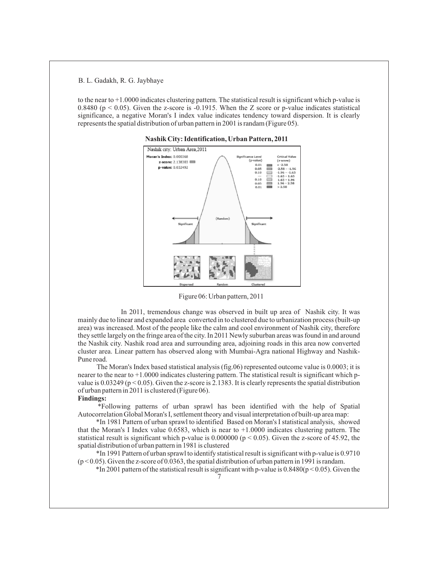to the near to +1.0000 indicates clustering pattern. The statistical result is significant which p-value is 0.8480 ( $p \le 0.05$ ). Given the z-score is -0.1915. When the Z score or p-value indicates statistical significance, a negative Moran's I index value indicates tendency toward dispersion. It is clearly represents the spatial distribution of urban pattern in 2001 is randam (Figure 05).



**Nashik City: Identification, Urban Pattern, 2011**

Figure 06: Urban pattern, 2011

In 2011, tremendous change was observed in built up area of Nashik city. It was mainly due to linear and expanded area converted in to clustered due to urbanization process (built-up area) was increased. Most of the people like the calm and cool environment of Nashik city, therefore they settle largely on the fringe area of the city. In 2011 Newly suburban areas was found in and around the Nashik city. Nashik road area and surrounding area, adjoining roads in this area now converted cluster area. Linear pattern has observed along with Mumbai-Agra national Highway and Nashik-Pune road.

The Moran's Index based statistical analysis (fig.06) represented outcome value is 0.0003; it is nearer to the near to +1.0000 indicates clustering pattern. The statistical result is significant which pvalue is 0.03249 ( $p < 0.05$ ). Given the z-score is 2.1383. It is clearly represents the spatial distribution of urban pattern in 2011 is clustered (Figure 06).

## **Findings:**

\*Following patterns of urban sprawl has been identified with the help of Spatial Autocorrelation Global Moran's I, settlement theory and visual interpretation of built-up area map:

\*In 1981 Pattern of urban sprawl to identified Based on Moran's I statistical analysis, showed that the Moran's I Index value 0.6583, which is near to +1.0000 indicates clustering pattern. The statistical result is significant which p-value is  $0.000000$  ( $p < 0.05$ ). Given the z-score of 45.92, the spatial distribution of urban pattern in 1981 is clustered

\*In 1991 Pattern of urban sprawl to identify statistical result is significant with p-value is 0.9710  $(p<0.05)$ . Given the z-score of 0.0363, the spatial distribution of urban pattern in 1991 is randam.

 $*$ In 2001 pattern of the statistical result is significant with p-value is 0.8480( $p$  < 0.05). Given the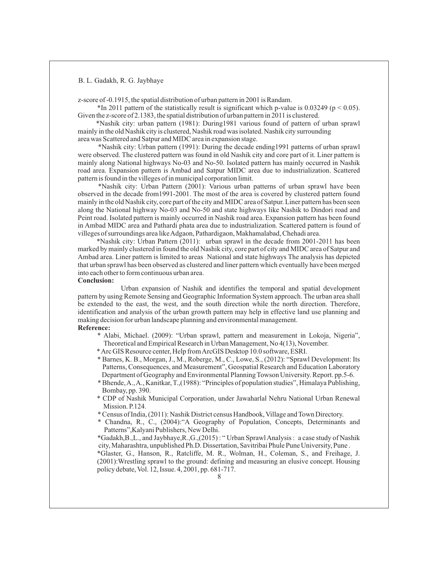z-score of -0.1915, the spatial distribution of urban pattern in 2001 is Randam.

 $*$ In 2011 pattern of the statistically result is significant which p-value is 0.03249 ( $p < 0.05$ ). Given the z-score of 2.1383, the spatial distribution of urban pattern in 2011 is clustered.

\*Nashik city: urban pattern (1981): During1981 various found of pattern of urban sprawl mainly in the old Nashik city is clustered, Nashik road was isolated. Nashik city surrounding area was Scattered and Satpur and MIDC area in expansion stage.

\*Nashik city: Urban pattern (1991): During the decade ending1991 patterns of urban sprawl

were observed. The clustered pattern was found in old Nashik city and core part of it. Liner pattern is mainly along National highways No-03 and No-50. Isolated pattern has mainly occurred in Nashik road area. Expansion pattern is Ambad and Satpur MIDC area due to industrialization. Scattered pattern is found in the villeges of in municipal corporation limit.

\*Nashik city: Urban Pattern (2001): Various urban patterns of urban sprawl have been observed in the decade from1991-2001. The most of the area is covered by clustered pattern found mainly in the old Nashik city, core part of the city and MIDC area of Satpur. Liner pattern has been seen along the National highway No-03 and No-50 and state highways like Nashik to Dindori road and Peint road. Isolated pattern is mainly occurred in Nashik road area. Expansion pattern has been found in Ambad MIDC area and Pathardi phata area due to industrialization. Scattered pattern is found of villeges of surroundings area like Adgaon, Pathardigaon, Makhamalabad, Chehadi area.

\*Nashik city: Urban Pattern (2011): urban sprawl in the decade from 2001-2011 has been marked by mainly clustered in found the old Nashik city, core part of city and MIDC area of Satpur and Ambad area. Liner pattern is limited to areas National and state highways The analysis has depicted that urban sprawl has been observed as clustered and liner pattern which eventually have been merged into each other to form continuous urban area.

### **Conclusion:**

Urban expansion of Nashik and identifies the temporal and spatial development pattern by using Remote Sensing and Geographic Information System approach. The urban area shall be extended to the east, the west, and the south direction while the north direction. Therefore, identification and analysis of the urban growth pattern may help in effective land use planning and making decision for urban landscape planning and environmental management.

### **Reference:**

- \* Alabi, Michael. (2009): "Urban sprawl, pattern and measurement in Lokoja, Nigeria", Theoretical and Empirical Research in Urban Management, No 4(13), November.
- \* Arc GIS Resource center, Help from ArcGIS Desktop 10.0 software, ESRI.
- \* Barnes, K. B., Morgan, J., M., Roberge, M., C., Lowe, S., (2012): "Sprawl Development: Its Patterns, Consequences, and Measurement", Geospatial Research and Education Laboratory Department of Geography and Environmental Planning Towson University. Report. pp.5-6.
- \* Bhende, A., A., Kanitkar, T.,(1988): "Principles of population studies", Himalaya Publishing, Bombay, pp. 390.
- \* CDP of Nashik Municipal Corporation, under Jawaharlal Nehru National Urban Renewal Mission. P.124.
- \* Census of India, (2011): Nashik District census Handbook, Village and Town Directory.
- \* Chandna, R., C., (2004):"A Geography of Population, Concepts, Determinants and Patterns",Kalyani Publishers, New Delhi.

\*Gadakh,B.,L., and Jaybhaye,R.,G.,(2015) : " Urban Sprawl Analysis : a case study of Nashik city, Maharashtra, unpublished Ph.D. Dissertation, Savitribai Phule Pune University, Pune .

\*Glaster, G., Hanson, R., Ratcliffe, M. R., Wolman, H., Coleman, S., and Freihage, J. (2001):Wrestling sprawl to the ground: defining and measuring an elusive concept. Housing policy debate, Vol. 12, Issue. 4, 2001, pp. 681-717.